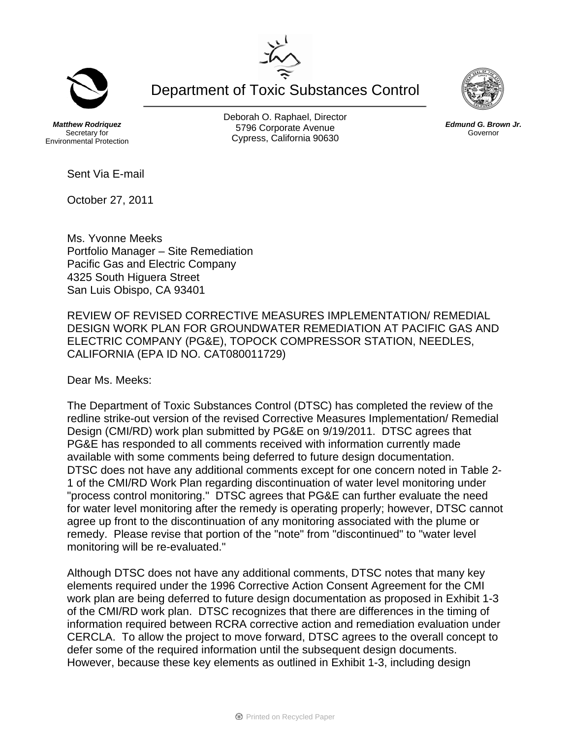Department of Toxic Substances Control

*Matthew Rodriquez*  Secretary for Environmental Protection Deborah O. Raphael, Director 5796 Corporate Avenue Cypress, California 90630

Sent Via E-mail

October 27, 2011

Ms. Yvonne Meeks Portfolio Manager – Site Remediation Pacific Gas and Electric Company 4325 South Higuera Street San Luis Obispo, CA 93401

REVIEW OF REVISED CORRECTIVE MEASURES IMPLEMENTATION/ REMEDIAL DESIGN WORK PLAN FOR GROUNDWATER REMEDIATION AT PACIFIC GAS AND ELECTRIC COMPANY (PG&E), TOPOCK COMPRESSOR STATION, NEEDLES, CALIFORNIA (EPA ID NO. CAT080011729)

Dear Ms. Meeks:

The Department of Toxic Substances Control (DTSC) has completed the review of the redline strike-out version of the revised Corrective Measures Implementation/ Remedial Design (CMI/RD) work plan submitted by PG&E on 9/19/2011. DTSC agrees that PG&E has responded to all comments received with information currently made available with some comments being deferred to future design documentation. DTSC does not have any additional comments except for one concern noted in Table 2- 1 of the CMI/RD Work Plan regarding discontinuation of water level monitoring under "process control monitoring." DTSC agrees that PG&E can further evaluate the need for water level monitoring after the remedy is operating properly; however, DTSC cannot agree up front to the discontinuation of any monitoring associated with the plume or remedy. Please revise that portion of the "note" from "discontinued" to "water level monitoring will be re-evaluated."

Although DTSC does not have any additional comments, DTSC notes that many key elements required under the 1996 Corrective Action Consent Agreement for the CMI work plan are being deferred to future design documentation as proposed in Exhibit 1-3 of the CMI/RD work plan. DTSC recognizes that there are differences in the timing of information required between RCRA corrective action and remediation evaluation under CERCLA. To allow the project to move forward, DTSC agrees to the overall concept to defer some of the required information until the subsequent design documents. However, because these key elements as outlined in Exhibit 1-3, including design





*Edmund G. Brown Jr.*  Governor